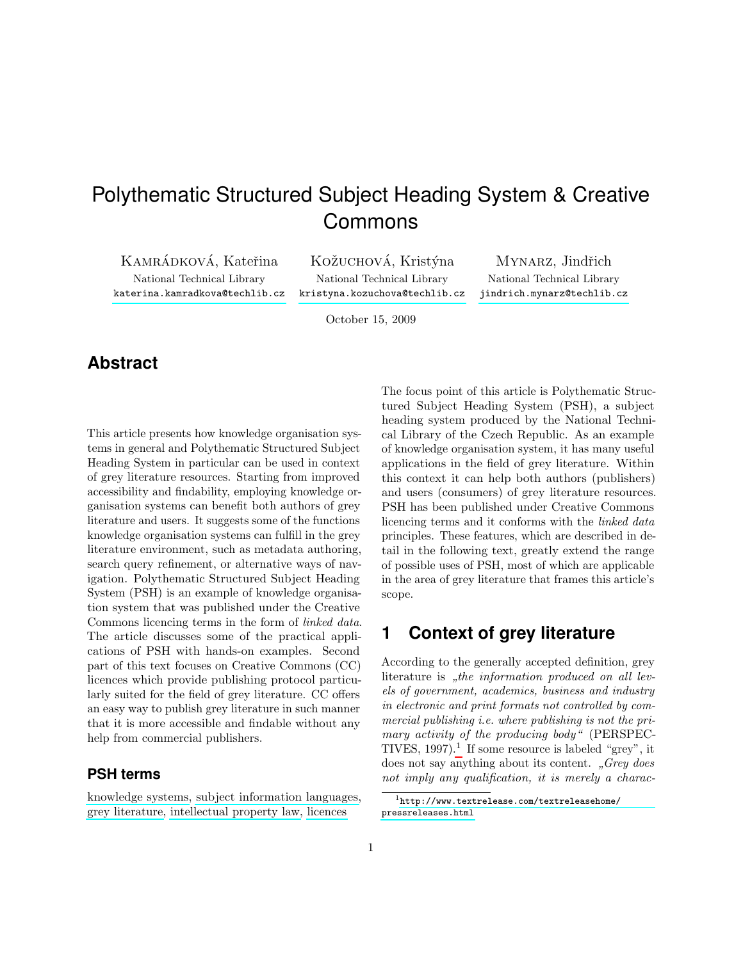# Polythematic Structured Subject Heading System & Creative Commons

KAMRÁDKOVÁ, Kateřina KOŽUCHOVÁ, Kristýna Mynarz, Jindřich <katerina.kamradkova@techlib.cz> <kristyna.kozuchova@techlib.cz> <jindrich.mynarz@techlib.cz>

National Technical Library National Technical Library National Technical Library

October 15, 2009

# **Abstract**

This article presents how knowledge organisation systems in general and Polythematic Structured Subject Heading System in particular can be used in context of grey literature resources. Starting from improved accessibility and findability, employing knowledge organisation systems can benefit both authors of grey literature and users. It suggests some of the functions knowledge organisation systems can fulfill in the grey literature environment, such as metadata authoring, search query refinement, or alternative ways of navigation. Polythematic Structured Subject Heading System (PSH) is an example of knowledge organisation system that was published under the Creative Commons licencing terms in the form of linked data. The article discusses some of the practical applications of PSH with hands-on examples. Second part of this text focuses on Creative Commons (CC) licences which provide publishing protocol particularly suited for the field of grey literature. CC offers an easy way to publish grey literature in such manner that it is more accessible and findable without any help from commercial publishers.

#### **PSH terms**

[knowledge systems,](http://psh.ntkcz.cz/skos/PSH12527/html/en) [subject information languages,](http://psh.ntkcz.cz/skos/PSH6486/html/en) [grey literature,](http://psh.ntkcz.cz/skos/PSH6454/html/en) [intellectual property law,](http://psh.ntkcz.cz/skos/PSH9075/html/en) [licences](http://psh.ntkcz.cz/skos/PSH1734/html/en)

The focus point of this article is Polythematic Structured Subject Heading System (PSH), a subject heading system produced by the National Technical Library of the Czech Republic. As an example of knowledge organisation system, it has many useful applications in the field of grey literature. Within this context it can help both authors (publishers) and users (consumers) of grey literature resources. PSH has been published under Creative Commons licencing terms and it conforms with the linked data principles. These features, which are described in detail in the following text, greatly extend the range of possible uses of PSH, most of which are applicable in the area of grey literature that frames this article's scope.

### **1 Context of grey literature**

According to the generally accepted definition, grey literature is "the information produced on all lev-<br> $\mathcal{L}_{\mathcal{L}}$  is a community of distinction by the integration of the distinction els of government, academics, business and industry in electronic and print formats not controlled by commercial publishing i.e. where publishing is not the primary activity of the producing body" (PERSPEC-TIVES,  $1997$  $1997$ ).<sup>1</sup> If some resource is labeled "grey", it does not say anything about its content.  $Grey$  does not imply any qualification, it is merely a charac-

<span id="page-0-0"></span> $1$ [http://www.textrelease.com/textreleasehome/](http://www.textrelease.com/textreleasehome/pressreleases.html) [pressreleases.html](http://www.textrelease.com/textreleasehome/pressreleases.html)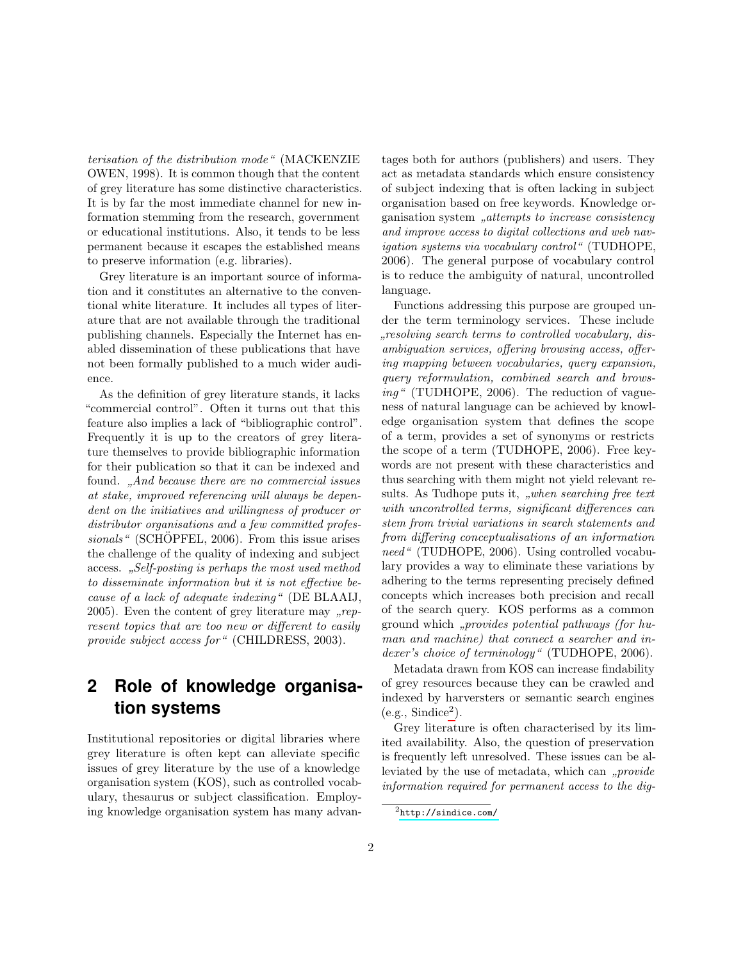terisation of the distribution mode" (MACKENZIE OWEN, 1998). It is common though that the content of grey literature has some distinctive characteristics. It is by far the most immediate channel for new information stemming from the research, government or educational institutions. Also, it tends to be less permanent because it escapes the established means to preserve information (e.g. libraries).

Grey literature is an important source of information and it constitutes an alternative to the conventional white literature. It includes all types of literature that are not available through the traditional publishing channels. Especially the Internet has enabled dissemination of these publications that have not been formally published to a much wider audience.

As the definition of grey literature stands, it lacks "commercial control". Often it turns out that this feature also implies a lack of "bibliographic control". Frequently it is up to the creators of grey literature themselves to provide bibliographic information for their publication so that it can be indexed and found. "And because there are no commercial issues at stake, improved referencing will always be dependent on the initiatives and willingness of producer or distributor organisations and a few committed profes $sionals$ " (SCHOPFEL, 2006). From this issue arises the challenge of the quality of indexing and subject access. "Self-posting is perhaps the most used method to disseminate information but it is not effective because of a lack of adequate indexing" (DE BLAAIJ, 2005). Even the content of grey literature may  $\mu$ represent topics that are too new or different to easily provide subject access for " (CHILDRESS, 2003).

# **2 Role of knowledge organisation systems**

Institutional repositories or digital libraries where grey literature is often kept can alleviate specific issues of grey literature by the use of a knowledge organisation system (KOS), such as controlled vocabulary, thesaurus or subject classification. Employing knowledge organisation system has many advantages both for authors (publishers) and users. They act as metadata standards which ensure consistency of subject indexing that is often lacking in subject organisation based on free keywords. Knowledge organisation system "attempts to increase consistency<br>and immunes access to disital sellections and not name and improve access to digital collections and web navigation systems via vocabulary control" (TUDHOPE, 2006). The general purpose of vocabulary control is to reduce the ambiguity of natural, uncontrolled language.

Functions addressing this purpose are grouped under the term terminology services. These include mbiguation services, offering browsing access, offerresolving search terms to controlled vocabulary, dising mapping between vocabularies, query expansion, query reformulation, combined search and browsing" (TUDHOPE, 2006). The reduction of vagueness of natural language can be achieved by knowledge organisation system that defines the scope of a term, provides a set of synonyms or restricts the scope of a term (TUDHOPE, 2006). Free keywords are not present with these characteristics and thus searching with them might not yield relevant results. As Tudhope puts it, "when searching free text<br>with an expected terms similar differences are with uncontrolled terms, significant differences can stem from trivial variations in search statements and from differing conceptualisations of an information need" (TUDHOPE, 2006). Using controlled vocabulary provides a way to eliminate these variations by adhering to the terms representing precisely defined concepts which increases both precision and recall of the search query. KOS performs as a common ground which "*provides potential pathways (for hu-*<br>we want the same that a same that we have a discovered in man and machine) that connect a searcher and indexer's choice of terminology" (TUDHOPE, 2006).

Metadata drawn from KOS can increase findability of grey resources because they can be crawled and indexed by harversters or semantic search engines  $(e.g., Sindice<sup>2</sup>).$  $(e.g., Sindice<sup>2</sup>).$  $(e.g., Sindice<sup>2</sup>).$ 

Grey literature is often characterised by its limited availability. Also, the question of preservation is frequently left unresolved. These issues can be alleviated by the use of metadata, which can  $\mu$  *provide* information required for permanent access to the dig-

<span id="page-1-0"></span> $^{2}$ <http://sindice.com/>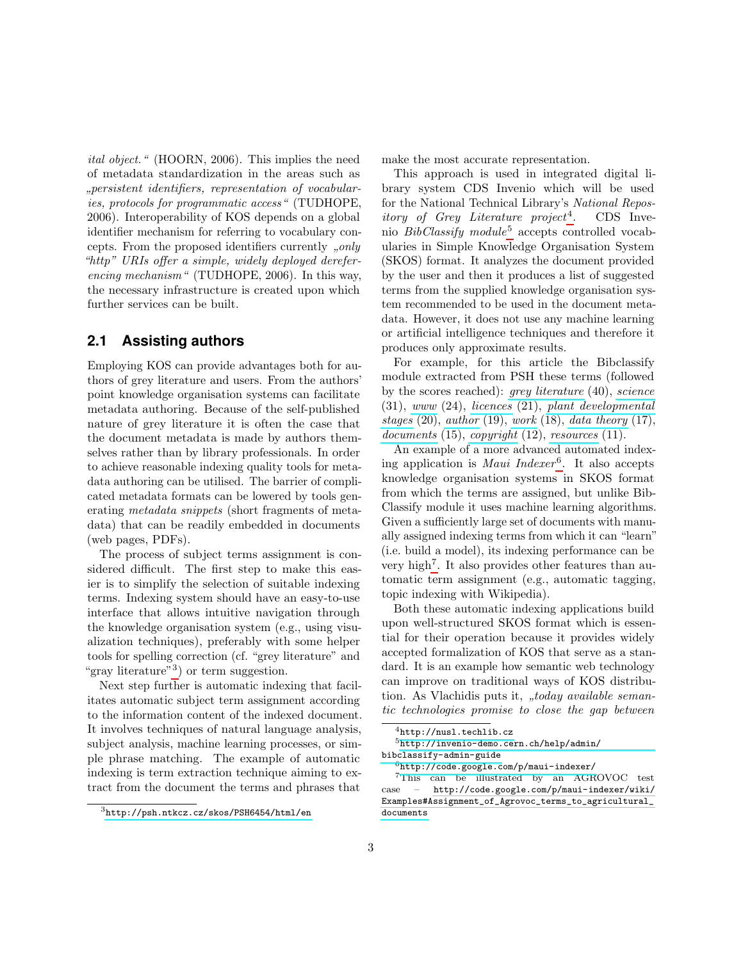ital object." (HOORN, 2006). This implies the need of metadata standardization in the areas such as " ies, protocols for programmatic access" (TUDHOPE, persistent identifiers, representation of vocabular-2006). Interoperability of KOS depends on a global identifier mechanism for referring to vocabulary concepts. From the proposed identifiers currently  $\omega$ ,  $only$ "http" URIs offer a simple, widely deployed dereferencing mechanism" (TUDHOPE, 2006). In this way, the necessary infrastructure is created upon which further services can be built.

#### **2.1 Assisting authors**

Employing KOS can provide advantages both for authors of grey literature and users. From the authors' point knowledge organisation systems can facilitate metadata authoring. Because of the self-published nature of grey literature it is often the case that the document metadata is made by authors themselves rather than by library professionals. In order to achieve reasonable indexing quality tools for metadata authoring can be utilised. The barrier of complicated metadata formats can be lowered by tools generating metadata snippets (short fragments of metadata) that can be readily embedded in documents (web pages, PDFs).

The process of subject terms assignment is considered difficult. The first step to make this easier is to simplify the selection of suitable indexing terms. Indexing system should have an easy-to-use interface that allows intuitive navigation through the knowledge organisation system (e.g., using visualization techniques), preferably with some helper tools for spelling correction (cf. "grey literature" and "gray literature"<sup>[3](#page-2-0)</sup>) or term suggestion.

Next step further is automatic indexing that facilitates automatic subject term assignment according to the information content of the indexed document. It involves techniques of natural language analysis, subject analysis, machine learning processes, or simple phrase matching. The example of automatic indexing is term extraction technique aiming to extract from the document the terms and phrases that

<span id="page-2-0"></span><sup>3</sup><http://psh.ntkcz.cz/skos/PSH6454/html/en>

make the most accurate representation.

This approach is used in integrated digital library system CDS Invenio which will be used for the National Technical Library's National Repos*itory of Grey Literature project*<sup>[4](#page-2-1)</sup>. . CDS Inve-nio BibClassify module<sup>[5](#page-2-2)</sup> accepts controlled vocabularies in Simple Knowledge Organisation System (SKOS) format. It analyzes the document provided by the user and then it produces a list of suggested terms from the supplied knowledge organisation system recommended to be used in the document metadata. However, it does not use any machine learning or artificial intelligence techniques and therefore it produces only approximate results.

For example, for this article the Bibclassify module extracted from PSH these terms (followed by the scores reached): [grey literature](http://psh.ntkcz.cz/skos/PSH6454/html/en) (40), [science](http://psh.ntkcz.cz/skos/PSH11940/html/en) (31), [www](http://psh.ntkcz.cz/skos/PSH12362/html/en) (24), [licences](http://psh.ntkcz.cz/skos/PSH1734/html/en) (21), [plant developmental](http://psh.ntkcz.cz/skos/PSH13359/html/en) [stages](http://psh.ntkcz.cz/skos/PSH13359/html/en)  $(20)$ , [author](http://psh.ntkcz.cz/skos/PSH6926/html/en)  $(19)$ , [work](http://psh.ntkcz.cz/skos/PSH2963/html/en)  $(18)$ , [data theory](http://psh.ntkcz.cz/skos/PSH6590/html/en)  $(17)$ ,  $documents (15), copuright (12), resources (11).$  $documents (15), copuright (12), resources (11).$  $documents (15), copuright (12), resources (11).$  $documents (15), copuright (12), resources (11).$ 

An example of a more advanced automated indexing application is *Maui Indexer*<sup>[6](#page-2-3)</sup>. It also accepts knowledge organisation systems in SKOS format from which the terms are assigned, but unlike Bib-Classify module it uses machine learning algorithms. Given a sufficiently large set of documents with manually assigned indexing terms from which it can "learn" (i.e. build a model), its indexing performance can be very high<sup>[7](#page-2-4)</sup>. It also provides other features than automatic term assignment (e.g., automatic tagging, topic indexing with Wikipedia).

Both these automatic indexing applications build upon well-structured SKOS format which is essential for their operation because it provides widely accepted formalization of KOS that serve as a standard. It is an example how semantic web technology can improve on traditional ways of KOS distribution. As Vlachidis puts it, "*today available seman*tic technologies promise to close the gap between

<span id="page-2-2"></span><span id="page-2-1"></span> $^4$ <http://nusl.techlib.cz>

<sup>5</sup>[http://invenio-demo.cern.ch/help/admin/](http://invenio-demo.cern.ch/help/admin/bibclassify-admin-guide) [bibclassify-admin-guide](http://invenio-demo.cern.ch/help/admin/bibclassify-admin-guide)

<span id="page-2-4"></span><span id="page-2-3"></span> $6$ <http://code.google.com/p/maui-indexer/>

<sup>7</sup>This can be illustrated by an AGROVOC test case – [http://code.google.com/p/maui-indexer/wiki/](http://code.google.com/p/maui-indexer/wiki/Examples#Assignment_of_Agrovoc_terms_to_agricultural_documents) [Examples#Assignment\\_of\\_Agrovoc\\_terms\\_to\\_agricultural\\_](http://code.google.com/p/maui-indexer/wiki/Examples#Assignment_of_Agrovoc_terms_to_agricultural_documents) [documents](http://code.google.com/p/maui-indexer/wiki/Examples#Assignment_of_Agrovoc_terms_to_agricultural_documents)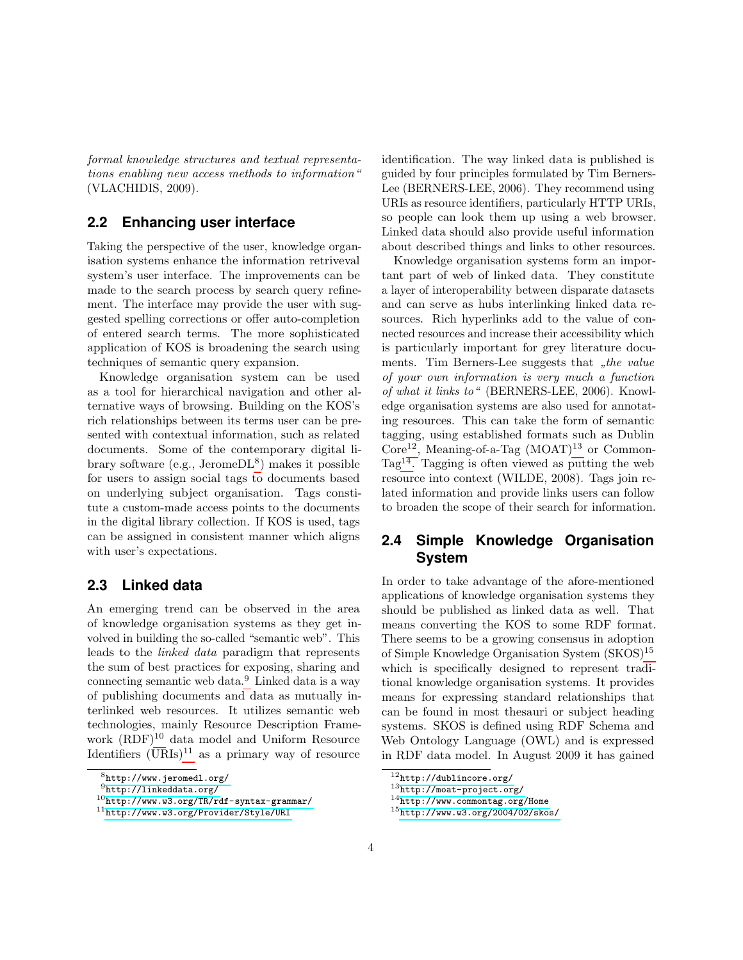formal knowledge structures and textual representations enabling new access methods to information" (VLACHIDIS, 2009).

#### **2.2 Enhancing user interface**

Taking the perspective of the user, knowledge organisation systems enhance the information retriveval system's user interface. The improvements can be made to the search process by search query refinement. The interface may provide the user with suggested spelling corrections or offer auto-completion of entered search terms. The more sophisticated application of KOS is broadening the search using techniques of semantic query expansion.

Knowledge organisation system can be used as a tool for hierarchical navigation and other alternative ways of browsing. Building on the KOS's rich relationships between its terms user can be presented with contextual information, such as related documents. Some of the contemporary digital library software (e.g., Jerome $\text{DL}^{8}$  $\text{DL}^{8}$  $\text{DL}^{8}$ ) makes it possible for users to assign social tags to documents based on underlying subject organisation. Tags constitute a custom-made access points to the documents in the digital library collection. If KOS is used, tags can be assigned in consistent manner which aligns with user's expectations.

#### **2.3 Linked data**

An emerging trend can be observed in the area of knowledge organisation systems as they get involved in building the so-called "semantic web". This leads to the linked data paradigm that represents the sum of best practices for exposing, sharing and connecting semantic web data.[9](#page-3-1) Linked data is a way of publishing documents and data as mutually interlinked web resources. It utilizes semantic web technologies, mainly Resource Description Framework  $(RDF)^{10}$  $(RDF)^{10}$  $(RDF)^{10}$  data model and Uniform Resource Identifiers  $(URIs)^{11}$  $(URIs)^{11}$  $(URIs)^{11}$  as a primary way of resource identification. The way linked data is published is guided by four principles formulated by Tim Berners-Lee (BERNERS-LEE, 2006). They recommend using URIs as resource identifiers, particularly HTTP URIs, so people can look them up using a web browser. Linked data should also provide useful information about described things and links to other resources.

Knowledge organisation systems form an important part of web of linked data. They constitute a layer of interoperability between disparate datasets and can serve as hubs interlinking linked data resources. Rich hyperlinks add to the value of connected resources and increase their accessibility which is particularly important for grey literature documents. Tim Berners-Lee suggests that  $n$ , the value of your own information is very much a function of what it links to" (BERNERS-LEE, 2006). Knowledge organisation systems are also used for annotating resources. This can take the form of semantic tagging, using established formats such as Dublin  $Core^{12}$  $Core^{12}$  $Core^{12}$ , Meaning-of-a-Tag  $(MOAT)^{13}$  $(MOAT)^{13}$  $(MOAT)^{13}$  or Common-Tag<sup>[14](#page-3-6)</sup>. Tagging is often viewed as putting the web resource into context (WILDE, 2008). Tags join related information and provide links users can follow to broaden the scope of their search for information.

#### **2.4 Simple Knowledge Organisation System**

In order to take advantage of the afore-mentioned applications of knowledge organisation systems they should be published as linked data as well. That means converting the KOS to some RDF format. There seems to be a growing consensus in adoption of Simple Knowledge Organisation System (SKOS)[15](#page-3-7) which is specifically designed to represent traditional knowledge organisation systems. It provides means for expressing standard relationships that can be found in most thesauri or subject heading systems. SKOS is defined using RDF Schema and Web Ontology Language (OWL) and is expressed in RDF data model. In August 2009 it has gained

<span id="page-3-0"></span> $8$ <http://www.jeromedl.org/>

<span id="page-3-1"></span><sup>9</sup><http://linkeddata.org/>

<span id="page-3-2"></span><sup>10</sup><http://www.w3.org/TR/rdf-syntax-grammar/>

<span id="page-3-3"></span><sup>11</sup><http://www.w3.org/Provider/Style/URI>

<span id="page-3-4"></span><sup>12</sup><http://dublincore.org/>

<span id="page-3-5"></span><sup>13</sup><http://moat-project.org/>

<span id="page-3-6"></span> $14$ <http://www.commontag.org/Home>

<span id="page-3-7"></span> $15$ <http://www.w3.org/2004/02/skos/>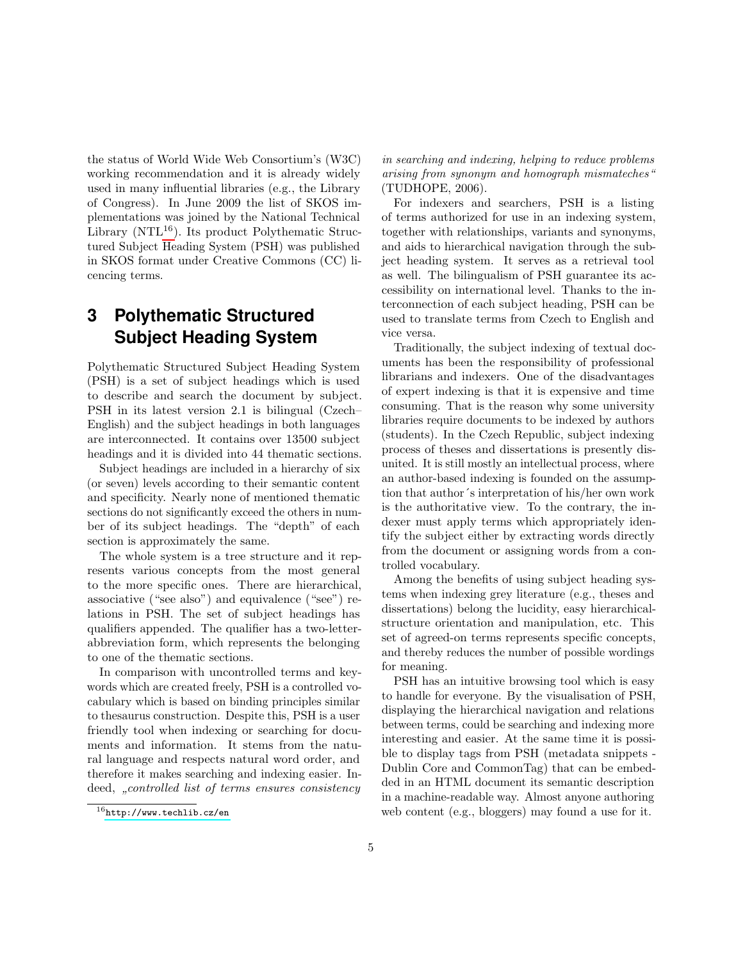the status of World Wide Web Consortium's (W3C) working recommendation and it is already widely used in many influential libraries (e.g., the Library of Congress). In June 2009 the list of SKOS implementations was joined by the National Technical Library (NTL $^{16}$  $^{16}$  $^{16}$ ). Its product Polythematic Structured Subject Heading System (PSH) was published in SKOS format under Creative Commons (CC) licencing terms.

# **3 Polythematic Structured Subject Heading System**

Polythematic Structured Subject Heading System (PSH) is a set of subject headings which is used to describe and search the document by subject. PSH in its latest version 2.1 is bilingual (Czech– English) and the subject headings in both languages are interconnected. It contains over 13500 subject headings and it is divided into 44 thematic sections.

Subject headings are included in a hierarchy of six (or seven) levels according to their semantic content and specificity. Nearly none of mentioned thematic sections do not significantly exceed the others in number of its subject headings. The "depth" of each section is approximately the same.

The whole system is a tree structure and it represents various concepts from the most general to the more specific ones. There are hierarchical, associative ("see also") and equivalence ("see") relations in PSH. The set of subject headings has qualifiers appended. The qualifier has a two-letterabbreviation form, which represents the belonging to one of the thematic sections.

In comparison with uncontrolled terms and keywords which are created freely, PSH is a controlled vocabulary which is based on binding principles similar to thesaurus construction. Despite this, PSH is a user friendly tool when indexing or searching for documents and information. It stems from the natural language and respects natural word order, and therefore it makes searching and indexing easier. Indeed, "controlled list of terms ensures consistency

in searching and indexing, helping to reduce problems arising from synonym and homograph mismateches" (TUDHOPE, 2006).

For indexers and searchers, PSH is a listing of terms authorized for use in an indexing system, together with relationships, variants and synonyms, and aids to hierarchical navigation through the subject heading system. It serves as a retrieval tool as well. The bilingualism of PSH guarantee its accessibility on international level. Thanks to the interconnection of each subject heading, PSH can be used to translate terms from Czech to English and vice versa.

Traditionally, the subject indexing of textual documents has been the responsibility of professional librarians and indexers. One of the disadvantages of expert indexing is that it is expensive and time consuming. That is the reason why some university libraries require documents to be indexed by authors (students). In the Czech Republic, subject indexing process of theses and dissertations is presently disunited. It is still mostly an intellectual process, where an author-based indexing is founded on the assumption that author´s interpretation of his/her own work is the authoritative view. To the contrary, the indexer must apply terms which appropriately identify the subject either by extracting words directly from the document or assigning words from a controlled vocabulary.

Among the benefits of using subject heading systems when indexing grey literature (e.g., theses and dissertations) belong the lucidity, easy hierarchicalstructure orientation and manipulation, etc. This set of agreed-on terms represents specific concepts, and thereby reduces the number of possible wordings for meaning.

PSH has an intuitive browsing tool which is easy to handle for everyone. By the visualisation of PSH, displaying the hierarchical navigation and relations between terms, could be searching and indexing more interesting and easier. At the same time it is possible to display tags from PSH (metadata snippets - Dublin Core and CommonTag) that can be embedded in an HTML document its semantic description in a machine-readable way. Almost anyone authoring web content (e.g., bloggers) may found a use for it.

<span id="page-4-0"></span> $16$ <http://www.techlib.cz/en>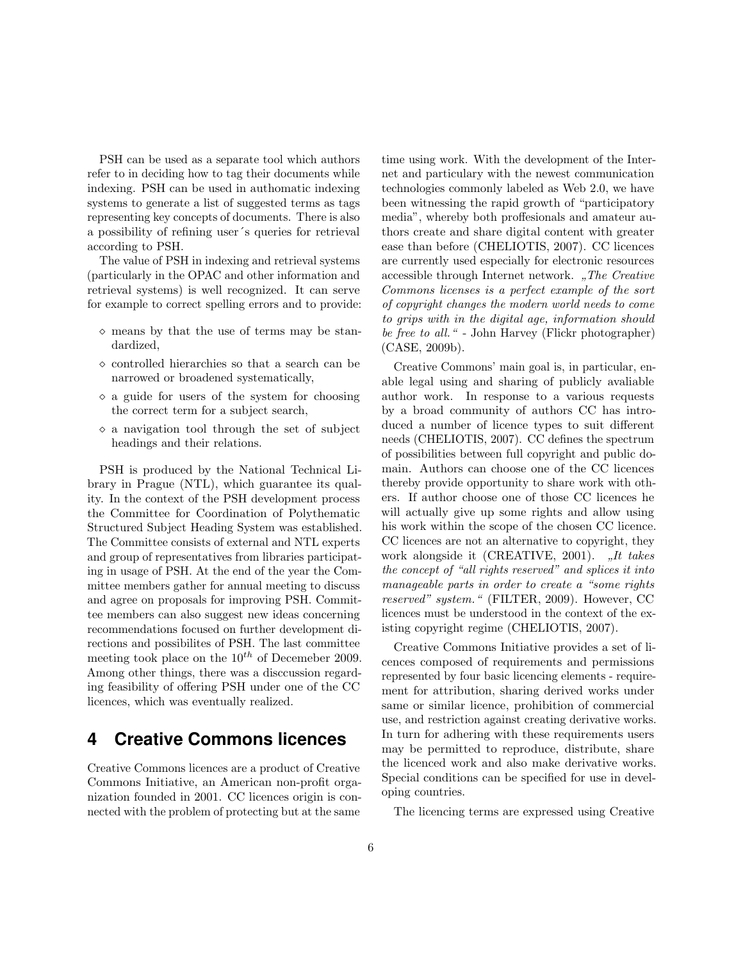PSH can be used as a separate tool which authors refer to in deciding how to tag their documents while indexing. PSH can be used in authomatic indexing systems to generate a list of suggested terms as tags representing key concepts of documents. There is also a possibility of refining user´s queries for retrieval according to PSH.

The value of PSH in indexing and retrieval systems (particularly in the OPAC and other information and retrieval systems) is well recognized. It can serve for example to correct spelling errors and to provide:

- $\diamond$  means by that the use of terms may be standardized,
- $\circ$  controlled hierarchies so that a search can be narrowed or broadened systematically,
- $\Diamond$  a guide for users of the system for choosing the correct term for a subject search,
- $\Diamond$  a navigation tool through the set of subject headings and their relations.

PSH is produced by the National Technical Library in Prague (NTL), which guarantee its quality. In the context of the PSH development process the Committee for Coordination of Polythematic Structured Subject Heading System was established. The Committee consists of external and NTL experts and group of representatives from libraries participating in usage of PSH. At the end of the year the Committee members gather for annual meeting to discuss and agree on proposals for improving PSH. Committee members can also suggest new ideas concerning recommendations focused on further development directions and possibilites of PSH. The last committee meeting took place on the  $10^{th}$  of Decemeber 2009. Among other things, there was a disccussion regarding feasibility of offering PSH under one of the CC licences, which was eventually realized.

# **4 Creative Commons licences**

Creative Commons licences are a product of Creative Commons Initiative, an American non-profit organization founded in 2001. CC licences origin is connected with the problem of protecting but at the same time using work. With the development of the Internet and particulary with the newest communication technologies commonly labeled as Web 2.0, we have been witnessing the rapid growth of "participatory media", whereby both proffesionals and amateur authors create and share digital content with greater ease than before (CHELIOTIS, 2007). CC licences are currently used especially for electronic resources accessible through Internet network. "The Creative Commons licenses is a perfect example of the sort of copyright changes the modern world needs to come to grips with in the digital age, information should be free to all." - John Harvey (Flickr photographer) (CASE, 2009b).

Creative Commons' main goal is, in particular, enable legal using and sharing of publicly avaliable author work. In response to a various requests by a broad community of authors CC has introduced a number of licence types to suit different needs (CHELIOTIS, 2007). CC defines the spectrum of possibilities between full copyright and public domain. Authors can choose one of the CC licences thereby provide opportunity to share work with others. If author choose one of those CC licences he will actually give up some rights and allow using his work within the scope of the chosen CC licence. CC licences are not an alternative to copyright, they work alongside it (CREATIVE, 2001). "It takes the concept of "all rights reserved" and splices it into manageable parts in order to create a "some rights reserved" system." (FILTER, 2009). However, CC licences must be understood in the context of the existing copyright regime (CHELIOTIS, 2007).

Creative Commons Initiative provides a set of licences composed of requirements and permissions represented by four basic licencing elements - requirement for attribution, sharing derived works under same or similar licence, prohibition of commercial use, and restriction against creating derivative works. In turn for adhering with these requirements users may be permitted to reproduce, distribute, share the licenced work and also make derivative works. Special conditions can be specified for use in developing countries.

The licencing terms are expressed using Creative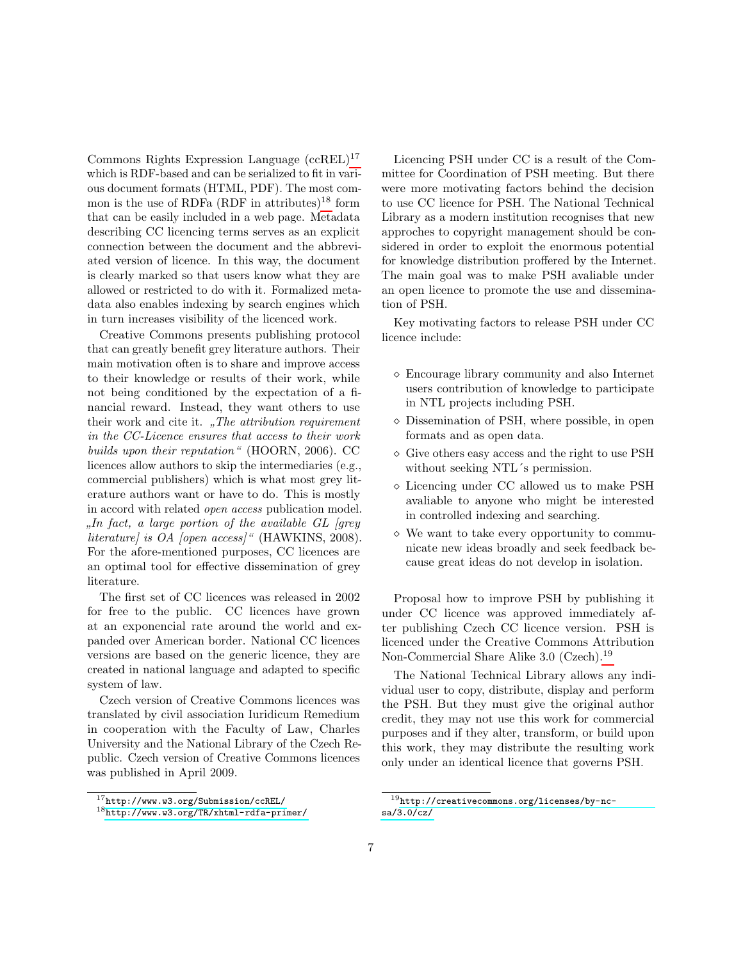Commons Rights Expression Language (ccREL)[17](#page-6-0) which is RDF-based and can be serialized to fit in various document formats (HTML, PDF). The most common is the use of RDFa  $(RDF$  in attributes)<sup>[18](#page-6-1)</sup> form that can be easily included in a web page. Metadata describing CC licencing terms serves as an explicit connection between the document and the abbreviated version of licence. In this way, the document is clearly marked so that users know what they are allowed or restricted to do with it. Formalized metadata also enables indexing by search engines which in turn increases visibility of the licenced work.

Creative Commons presents publishing protocol that can greatly benefit grey literature authors. Their main motivation often is to share and improve access to their knowledge or results of their work, while not being conditioned by the expectation of a financial reward. Instead, they want others to use their work and cite it.  $n$ , The attribution requirement in the CC-Licence ensures that access to their work builds upon their reputation" (HOORN, 2006). CC licences allow authors to skip the intermediaries (e.g., commercial publishers) which is what most grey literature authors want or have to do. This is mostly in accord with related open access publication model.  $\mu$ , the fact, a target portion of the abattance  $\overline{CD}$  [gregger] literature] is OA [open access]" (HAWKINS, 2008).  $I_n$  fact, a large portion of the available GL (grey For the afore-mentioned purposes, CC licences are an optimal tool for effective dissemination of grey literature.

The first set of CC licences was released in 2002 for free to the public. CC licences have grown at an exponencial rate around the world and expanded over American border. National CC licences versions are based on the generic licence, they are created in national language and adapted to specific system of law.

Czech version of Creative Commons licences was translated by civil association Iuridicum Remedium in cooperation with the Faculty of Law, Charles University and the National Library of the Czech Republic. Czech version of Creative Commons licences was published in April 2009.

Licencing PSH under CC is a result of the Committee for Coordination of PSH meeting. But there were more motivating factors behind the decision to use CC licence for PSH. The National Technical Library as a modern institution recognises that new approches to copyright management should be considered in order to exploit the enormous potential for knowledge distribution proffered by the Internet. The main goal was to make PSH avaliable under an open licence to promote the use and dissemination of PSH.

Key motivating factors to release PSH under CC licence include:

- Encourage library community and also Internet users contribution of knowledge to participate in NTL projects including PSH.
- $\diamond$  Dissemination of PSH, where possible, in open formats and as open data.
- $\Diamond$  Give others easy access and the right to use PSH without seeking NTL's permission.
- $\diamond$  Licencing under CC allowed us to make PSH avaliable to anyone who might be interested in controlled indexing and searching.
- $\diamond$  We want to take every opportunity to communicate new ideas broadly and seek feedback because great ideas do not develop in isolation.

Proposal how to improve PSH by publishing it under CC licence was approved immediately after publishing Czech CC licence version. PSH is licenced under the Creative Commons Attribution Non-Commercial Share Alike 3.0 (Czech).<sup>[19](#page-6-2)</sup>

The National Technical Library allows any individual user to copy, distribute, display and perform the PSH. But they must give the original author credit, they may not use this work for commercial purposes and if they alter, transform, or build upon this work, they may distribute the resulting work only under an identical licence that governs PSH.

<span id="page-6-0"></span><sup>17</sup><http://www.w3.org/Submission/ccREL/>

<span id="page-6-1"></span><sup>18</sup><http://www.w3.org/TR/xhtml-rdfa-primer/>

<span id="page-6-2"></span> $19$ [http://creativecommons.org/licenses/by-nc](http://creativecommons.org/licenses/by-nc-sa/3.0/cz/)[sa/3.0/cz/](http://creativecommons.org/licenses/by-nc-sa/3.0/cz/)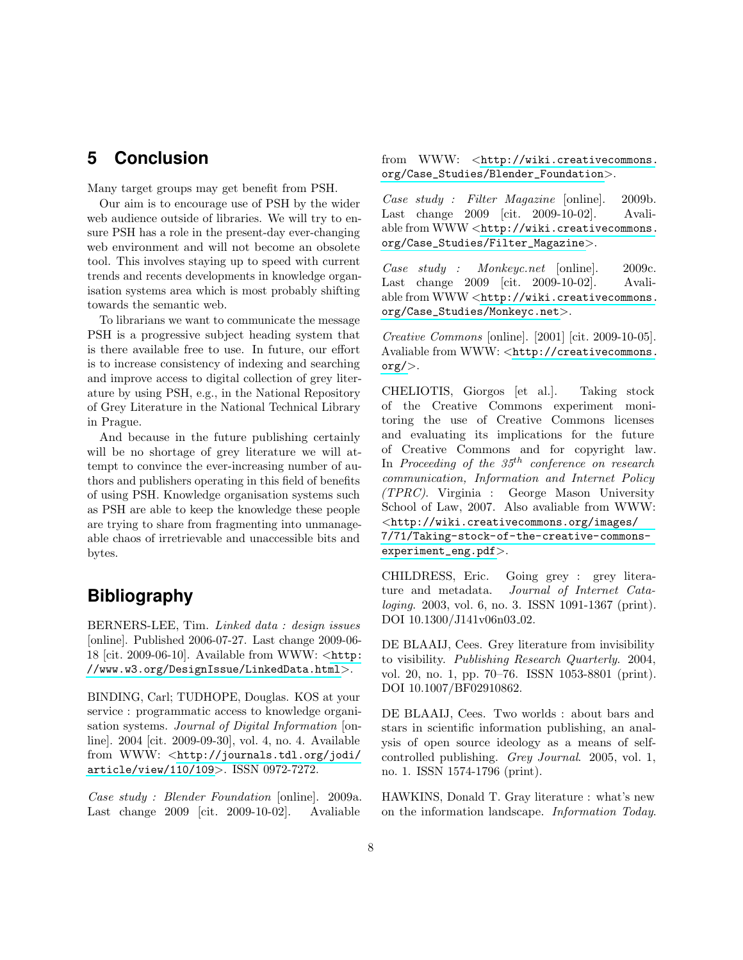# **5 Conclusion**

Many target groups may get benefit from PSH.

Our aim is to encourage use of PSH by the wider web audience outside of libraries. We will try to ensure PSH has a role in the present-day ever-changing web environment and will not become an obsolete tool. This involves staying up to speed with current trends and recents developments in knowledge organisation systems area which is most probably shifting towards the semantic web.

To librarians we want to communicate the message PSH is a progressive subject heading system that is there available free to use. In future, our effort is to increase consistency of indexing and searching and improve access to digital collection of grey literature by using PSH, e.g., in the National Repository of Grey Literature in the National Technical Library in Prague.

And because in the future publishing certainly will be no shortage of grey literature we will attempt to convince the ever-increasing number of authors and publishers operating in this field of benefits of using PSH. Knowledge organisation systems such as PSH are able to keep the knowledge these people are trying to share from fragmenting into unmanageable chaos of irretrievable and unaccessible bits and bytes.

# **Bibliography**

BERNERS-LEE, Tim. Linked data : design issues [online]. Published 2006-07-27. Last change 2009-06- 18 [cit. 2009-06-10]. Available from WWW: <[http:](http://www.w3.org/DesignIssue/LinkedData.html) [//www.w3.org/DesignIssue/LinkedData.html](http://www.w3.org/DesignIssue/LinkedData.html)>.

BINDING, Carl; TUDHOPE, Douglas. KOS at your service : programmatic access to knowledge organisation systems. Journal of Digital Information [online]. 2004 [cit. 2009-09-30], vol. 4, no. 4. Available from WWW: <[http://journals.tdl.org/jodi/](http://journals.tdl.org/jodi/article/view/110/109) [article/view/110/109](http://journals.tdl.org/jodi/article/view/110/109)>. ISSN 0972-7272.

Case study : Blender Foundation [online]. 2009a. Last change 2009 [cit. 2009-10-02]. Avaliable from WWW: <[http://wiki.creativecommons.](http://wiki.creativecommons.org/Case_Studies/Blender_Foundation) [org/Case\\_Studies/Blender\\_Foundation](http://wiki.creativecommons.org/Case_Studies/Blender_Foundation)>.

Case study : Filter Magazine [online]. 2009b. Last change 2009 [cit. 2009-10-02]. Avaliable from WWW <[http://wiki.creativecommons.](http://wiki.creativecommons.org/Case_Studies/Filter_Magazine) [org/Case\\_Studies/Filter\\_Magazine](http://wiki.creativecommons.org/Case_Studies/Filter_Magazine)>.

Case study : Monkeyc.net [online]. 2009c. Last change 2009 [cit. 2009-10-02]. Avaliable from WWW <[http://wiki.creativecommons.](http://wiki.creativecommons.org/Case_Studies/Monkeyc.net) [org/Case\\_Studies/Monkeyc.net](http://wiki.creativecommons.org/Case_Studies/Monkeyc.net)>.

Creative Commons [online]. [2001] [cit. 2009-10-05]. Avaliable from WWW: <[http://creativecommons.](http://creativecommons.org/) [org/](http://creativecommons.org/)>.

CHELIOTIS, Giorgos [et al.]. Taking stock of the Creative Commons experiment monitoring the use of Creative Commons licenses and evaluating its implications for the future of Creative Commons and for copyright law. In Proceeding of the  $35<sup>th</sup>$  conference on research communication, Information and Internet Policy (TPRC). Virginia : George Mason University School of Law, 2007. Also avaliable from WWW: <[http://wiki.creativecommons.org/images/](http://wiki.creativecommons.org/images/7/71/Taking-stock-of-the-creative-commons-experiment_eng.pdf) [7/71/Taking-stock-of-the-creative-commons](http://wiki.creativecommons.org/images/7/71/Taking-stock-of-the-creative-commons-experiment_eng.pdf)[experiment\\_eng.pdf](http://wiki.creativecommons.org/images/7/71/Taking-stock-of-the-creative-commons-experiment_eng.pdf)>.

CHILDRESS, Eric. Going grey : grey literature and metadata. Journal of Internet Cataloging. 2003, vol. 6, no. 3. ISSN 1091-1367 (print). DOI 10.1300/J141v06n03<sub>-02</sub>.

DE BLAAIJ, Cees. Grey literature from invisibility to visibility. Publishing Research Quarterly. 2004, vol. 20, no. 1, pp. 70–76. ISSN 1053-8801 (print). DOI 10.1007/BF02910862.

DE BLAAIJ, Cees. Two worlds : about bars and stars in scientific information publishing, an analysis of open source ideology as a means of selfcontrolled publishing. Grey Journal. 2005, vol. 1, no. 1. ISSN 1574-1796 (print).

HAWKINS, Donald T. Gray literature : what's new on the information landscape. Information Today.